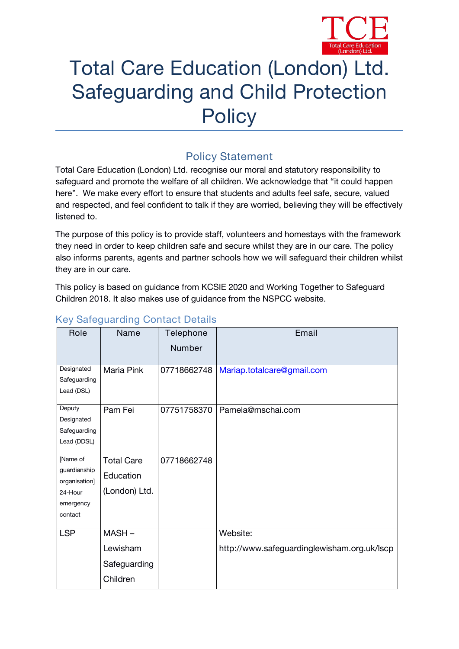

# Total Care Education (London) Ltd. Safeguarding and Child Protection **Policy**

# **Policy Statement**

Total Care Education (London) Ltd. recognise our moral and statutory responsibility to safeguard and promote the welfare of all children. We acknowledge that "it could happen here". We make every effort to ensure that students and adults feel safe, secure, valued and respected, and feel confident to talk if they are worried, believing they will be effectively listened to.

The purpose of this policy is to provide staff, volunteers and homestays with the framework they need in order to keep children safe and secure whilst they are in our care. The policy also informs parents, agents and partner schools how we will safeguard their children whilst they are in our care.

This policy is based on guidance from *KCSIE 2020*and *Working Together to Safeguard Children* 2018. It also makes use of guidance from the NSPCC website.

| Role          | Name              | Telephone   | Email                                       |  |
|---------------|-------------------|-------------|---------------------------------------------|--|
|               |                   | Number      |                                             |  |
|               |                   |             |                                             |  |
| Designated    | Maria Pink        | 07718662748 | Mariap.totalcare@gmail.com                  |  |
| Safeguarding  |                   |             |                                             |  |
| Lead (DSL)    |                   |             |                                             |  |
| Deputy        | Pam Fei           | 07751758370 | Pamela@mschai.com                           |  |
| Designated    |                   |             |                                             |  |
| Safeguarding  |                   |             |                                             |  |
| Lead (DDSL)   |                   |             |                                             |  |
| [Name of      | <b>Total Care</b> | 07718662748 |                                             |  |
| guardianship  |                   |             |                                             |  |
| organisation] | Education         |             |                                             |  |
| 24-Hour       | (London) Ltd.     |             |                                             |  |
| emergency     |                   |             |                                             |  |
| contact       |                   |             |                                             |  |
|               |                   |             |                                             |  |
| <b>LSP</b>    | MASH-             |             | Website:                                    |  |
|               | Lewisham          |             | http://www.safeguardinglewisham.org.uk/lscp |  |
|               | Safeguarding      |             |                                             |  |
|               | Children          |             |                                             |  |
|               |                   |             |                                             |  |

# **Key Safeguarding Contact Details**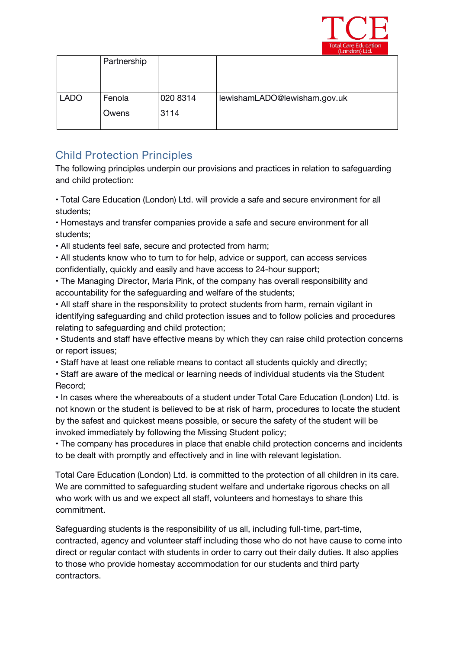

| <b>LADO</b><br>020 8314<br>lewishamLADO@lewisham.gov.uk<br>Fenola | Partnership |  |
|-------------------------------------------------------------------|-------------|--|
| 3114<br>Owens                                                     |             |  |

# **Child Protection Principles**

The following principles underpin our provisions and practices in relation to safeguarding and child protection:

• Total Care Education (London) Ltd. will provide a safe and secure environment for all students;

• Homestays and transfer companies provide a safe and secure environment for all students;

• All students feel safe, secure and protected from harm;

• All students know who to turn to for help, advice or support, can access services confidentially, quickly and easily and have access to 24-hour support;

• The Managing Director, Maria Pink, of the company has overall responsibility and accountability for the safeguarding and welfare of the students;

• All staff share in the responsibility to protect students from harm, remain vigilant in identifying safeguarding and child protection issues and to follow policies and procedures relating to safeguarding and child protection;

• Students and staff have effective means by which they can raise child protection concerns or report issues;

• Staff have at least one reliable means to contact all students quickly and directly;

• Staff are aware of the medical or learning needs of individual students via the Student Record;

• In cases where the whereabouts of a student under Total Care Education (London) Ltd. is not known or the student is believed to be at risk of harm, procedures to locate the student by the safest and quickest means possible, or secure the safety of the student will be invoked immediately by following the Missing Student policy;

• The company has procedures in place that enable child protection concerns and incidents to be dealt with promptly and effectively and in line with relevant legislation.

Total Care Education (London) Ltd. is committed to the protection of all children in its care. We are committed to safeguarding student welfare and undertake rigorous checks on all who work with us and we expect all staff, volunteers and homestays to share this commitment.

Safeguarding students is the responsibility of us all, including full-time, part-time, contracted, agency and volunteer staff including those who do not have cause to come into direct or regular contact with students in order to carry out their daily duties. It also applies to those who provide homestay accommodation for our students and third party contractors.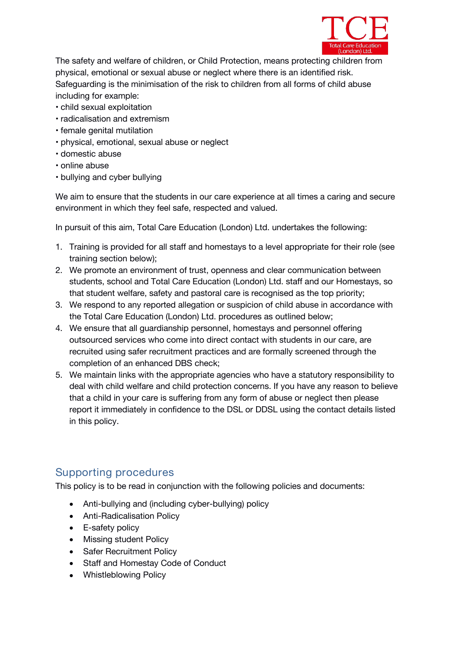

The safety and welfare of children, or Child Protection, means protecting children from physical, emotional or sexual abuse or neglect where there is an identified risk. Safeguarding is the minimisation of the risk to children from all forms of child abuse including for example:

- child sexual exploitation
- radicalisation and extremism
- female genital mutilation
- physical, emotional, sexual abuse or neglect
- domestic abuse
- online abuse
- bullying and cyber bullying

We aim to ensure that the students in our care experience at all times a caring and secure environment in which they feel safe, respected and valued.

In pursuit of this aim, Total Care Education (London) Ltd. undertakes the following:

- 1. Training is provided for all staff and homestays to a level appropriate for their role (see training section below);
- 2. We promote an environment of trust, openness and clear communication between students, school and Total Care Education (London) Ltd. staff and our Homestays, so that student welfare, safety and pastoral care is recognised as the top priority;
- 3. We respond to any reported allegation or suspicion of child abuse in accordance with the Total Care Education (London) Ltd. procedures as outlined below;
- 4. We ensure that all guardianship personnel, homestays and personnel offering outsourced services who come into direct contact with students in our care, are recruited using safer recruitment practices and are formally screened through the completion of an enhanced DBS check;
- 5. We maintain links with the appropriate agencies who have a statutory responsibility to deal with child welfare and child protection concerns. If you have any reason to believe that a child in your care is suffering from any form of abuse or neglect then please report it immediately in confidence to the DSL or DDSL using the contact details listed in this policy.

# **Supporting procedures**

This policy is to be read in conjunction with the following policies and documents:

- Anti-bullying and (including cyber-bullying) policy
- Anti-Radicalisation Policy
- E-safety policy
- Missing student Policy
- Safer Recruitment Policy
- Staff and Homestay Code of Conduct
- Whistleblowing Policy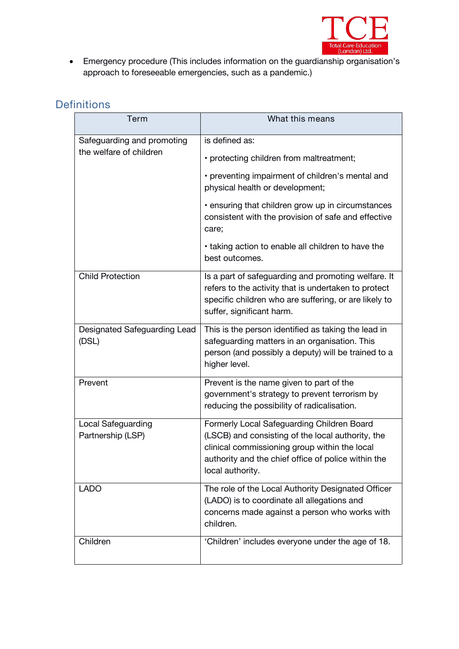

 Emergency procedure (This includes information on the guardianship organisation's approach to foreseeable emergencies, such as a pandemic.)

# **Definitions**

| Term                                                  | What this means                                                                                                                                                                                                             |
|-------------------------------------------------------|-----------------------------------------------------------------------------------------------------------------------------------------------------------------------------------------------------------------------------|
| Safeguarding and promoting<br>the welfare of children | is defined as:<br>• protecting children from maltreatment;                                                                                                                                                                  |
|                                                       | • preventing impairment of children's mental and<br>physical health or development;                                                                                                                                         |
|                                                       | . ensuring that children grow up in circumstances<br>consistent with the provision of safe and effective<br>care;                                                                                                           |
|                                                       | • taking action to enable all children to have the<br>best outcomes.                                                                                                                                                        |
| <b>Child Protection</b>                               | Is a part of safeguarding and promoting welfare. It<br>refers to the activity that is undertaken to protect<br>specific children who are suffering, or are likely to<br>suffer, significant harm.                           |
| Designated Safeguarding Lead<br>(DSL)                 | This is the person identified as taking the lead in<br>safeguarding matters in an organisation. This<br>person (and possibly a deputy) will be trained to a<br>higher level.                                                |
| Prevent                                               | Prevent is the name given to part of the<br>government's strategy to prevent terrorism by<br>reducing the possibility of radicalisation.                                                                                    |
| Local Safeguarding<br>Partnership (LSP)               | Formerly Local Safeguarding Children Board<br>(LSCB) and consisting of the local authority, the<br>clinical commissioning group within the local<br>authority and the chief office of police within the<br>local authority. |
| <b>LADO</b>                                           | The role of the Local Authority Designated Officer<br>(LADO) is to coordinate all allegations and<br>concerns made against a person who works with<br>children.                                                             |
| Children                                              | 'Children' includes everyone under the age of 18.                                                                                                                                                                           |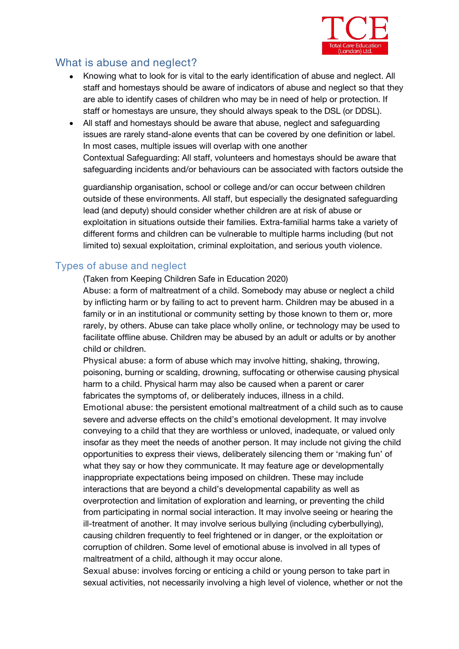

# **What is abuse and neglect?**

- Knowing what to look for is vital to the early identification of abuse and neglect. All staff and homestays should be aware of indicators of abuse and neglect so that they are able to identify cases of children who may be in need of help or protection. If staff or homestays are unsure, they should always speak to the DSL (or DDSL).
- All staff and homestays should be aware that abuse, neglect and safeguarding issues are rarely stand-alone events that can be covered by one definition or label. In most cases, multiple issues will overlap with one another Contextual Safeguarding: All staff, volunteers and homestays should be aware that safeguarding incidents and/or behaviours can be associated with factors outside the

guardianship organisation, school or college and/or can occur between children outside of these environments. All staff, but especially the designated safeguarding lead (and deputy) should consider whether children are at risk of abuse or exploitation in situations outside their families. Extra-familial harms take a variety of different forms and children can be vulnerable to multiple harms including (but not limited to) sexual exploitation, criminal exploitation, and serious youth violence.

# **Types of abuse and neglect**

(Taken from *Keeping Children Safe in Education* 2020)

**Abuse:** a form of maltreatment of a child. Somebody may abuse or neglect a child by inflicting harm or by failing to act to prevent harm. Children may be abused in a family or in an institutional or community setting by those known to them or, more rarely, by others. Abuse can take place wholly online, or technology may be used to facilitate offline abuse. Children may be abused by an adult or adults or by another child or children.

**Physical abuse:** a form of abuse which may involve hitting, shaking, throwing, poisoning, burning or scalding, drowning, suffocating or otherwise causing physical harm to a child. Physical harm may also be caused when a parent or carer fabricates the symptoms of, or deliberately induces, illness in a child. **Emotional abuse:** the persistent emotional maltreatment of a child such as to cause severe and adverse effects on the child's emotional development. It may involve conveying to a child that they are worthless or unloved, inadequate, or valued only insofar as they meet the needs of another person. It may include not giving the child opportunities to express their views, deliberately silencing them or 'making fun' of what they say or how they communicate. It may feature age or developmentally inappropriate expectations being imposed on children. These may include interactions that are beyond a child's developmental capability as well as overprotection and limitation of exploration and learning, or preventing the child from participating in normal social interaction. It may involve seeing or hearing the ill-treatment of another. It may involve serious bullying (including cyberbullying), causing children frequently to feel frightened or in danger, or the exploitation or corruption of children.Some level of emotional abuse is involved in all types of maltreatment of a child, although it may occur alone.

**Sexual abuse:** involves forcing or enticing a child or young person to take part in sexual activities, not necessarily involving a high level of violence, whether or not the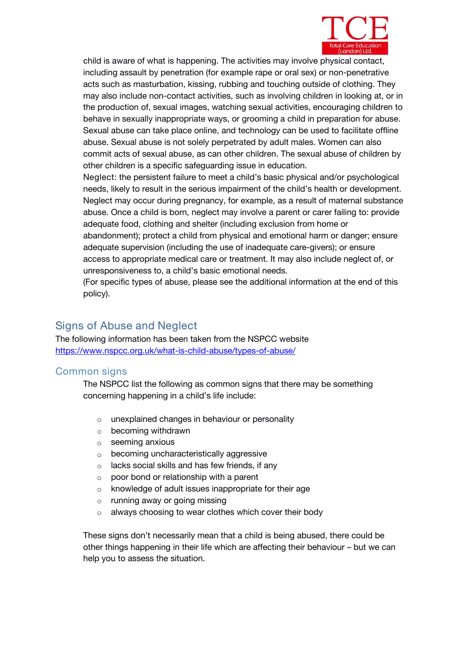

child is aware of what is happening. The activities may involve physical contact, including assault by penetration (for example rape or oral sex) or non-penetrative acts such as masturbation, kissing, rubbing and touching outside of clothing. They may also include non-contact activities, such as involving children in looking at, or in the production of, sexual images, watching sexual activities, encouraging children to behave in sexually inappropriate ways, or grooming a child in preparation for abuse. Sexual abuse can take place online, and technology can be used to facilitate offline abuse. Sexual abuse is not solely perpetrated by adult males. Women can also commit acts of sexual abuse, as can other children. The sexual abuse of children by other children is a specific safeguarding issue in education.

**Neglect:** the persistent failure to meet a child's basic physical and/or psychological needs, likely to result in the serious impairment of the child's health or development. Neglect may occur during pregnancy, for example, as a result of maternal substance abuse. Once a child is born, neglect may involve a parent or carer failing to: provide adequate food, clothing and shelter (including exclusion from home or

abandonment); protect a child from physical and emotional harm or danger; ensure adequate supervision (including the use of inadequate care-givers); or ensure access to appropriate medical care or treatment. It may also include neglect of, or unresponsiveness to, a child's basic emotional needs.

(For specific types of abuse, please see the additional information at the end of this policy).

# **Signs of Abuse and Neglect**

The following information has been taken from the NSPCC website [https://www.nspcc.org.uk/what-is-child-abuse/types-of-abuse/](about:blank)

#### **Common signs**

The NSPCC list the following as common signs that there may be something concerning happening in a child's life include:

- o unexplained changes in behaviour or personality
- o becoming withdrawn
- o seeming anxious
- o becoming uncharacteristically aggressive
- $\circ$  lacks social skills and has few friends, if any
- $\circ$  poor bond or relationship with a parent
- o knowledge of adult issues inappropriate for their age
- o running away or going missing
- o always choosing to wear clothes which cover their body

These signs don't necessarily mean that a child is being abused, there could be other things happening in their life which are affecting their behaviour – but we can help you to assess the situation.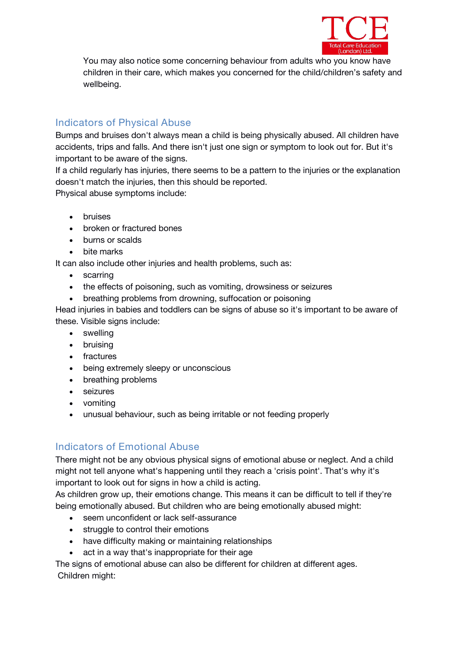

You may also notice some concerning behaviour from adults who you know have children in their care, which makes you concerned for the child/children's safety and wellbeing.

#### **Indicators of Physical Abuse**

Bumps and bruises don't always mean a child is being physically abused. All children have accidents, trips and falls. And there isn't just one sign or symptom to look out for. But it's important to be aware of the signs.

If a child regularly has injuries, there seems to be a pattern to the injuries or the explanation doesn't match the injuries, then this should be reported.

Physical abuse symptoms include:

- **bruises**
- broken or fractured bones
- **burns or scalds**
- bite marks

It can also include other injuries and health problems, such as:

- scarring
- the effects of poisoning, such as vomiting, drowsiness or seizures
- breathing problems from drowning, suffocation or poisoning

Head injuries in babies and toddlers can be signs of abuse so it's important to be aware of these. Visible signs include:

- swelling
- bruising
- fractures
- being extremely sleepy or unconscious
- breathing problems
- seizures
- vomiting
- unusual behaviour, such as being irritable or not feeding properly

# **Indicators of Emotional Abuse**

There might not be any obvious physical signs of emotional abuse or neglect. And a child might not tell anyone what's happening until they reach a 'crisis point'. That's why it's important to look out for signs in how a child is acting.

As children grow up, their emotions change. This means it can be difficult to tell if they're being emotionally abused. But children who are being emotionally abused might:

- seem unconfident or lack self-assurance
- struggle to control their emotions
- have difficulty making or maintaining relationships
- act in a way that's inappropriate for their age

The signs of emotional abuse can also be different for children at different ages. Children might: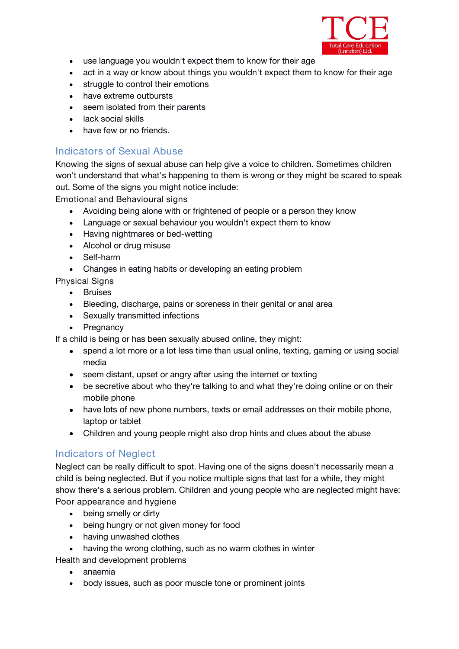

- use language you wouldn't expect them to know for their age
- act in a way or know about things you wouldn't expect them to know for their age
- struggle to control their emotions
- have extreme outbursts
- seem isolated from their parents
- lack social skills
- have few or no friends.

#### **Indicators of Sexual Abuse**

Knowing the signs of sexual abuse can help give a voice to children. Sometimes children won't understand that what's happening to them is wrong or they might be scared to speak out. Some of the signs you might notice include:

**Emotional and Behavioural signs**

- Avoiding being alone with or frightened of people or a person they know
- Language or sexual behaviour you wouldn't expect them to know
- Having nightmares or bed-wetting
- Alcohol or drug misuse
- Self-harm
- Changes in eating habits or developing an eating problem
- **Physical Signs**
	- **Bruises**
	- Bleeding, discharge, pains or soreness in their genital or anal area
	- Sexually transmitted infections
	- Pregnancy

If a child is being or has been sexually abused online, they might:

- spend a lot more or a lot less time than usual online, texting, gaming or using social media
- seem distant, upset or angry after using the internet or texting
- be secretive about who they're talking to and what they're doing online or on their mobile phone
- have lots of new phone numbers, texts or email addresses on their mobile phone, laptop or tablet
- Children and young people might also drop hints and clues about the abuse

# **Indicators of Neglect**

Neglect can be really difficult to spot. Having one of the signs doesn't necessarily mean a child is being neglected. But if you notice multiple signs that last for a while, they might show there's a serious problem. Children and young people who are neglected might have: **Poor appearance and hygiene**

- being smelly or dirty
- being hungry or not given money for food
- having unwashed clothes
- having the wrong clothing, such as no warm clothes in winter

Health and development problems

- anaemia
- body issues, such as poor muscle tone or prominent joints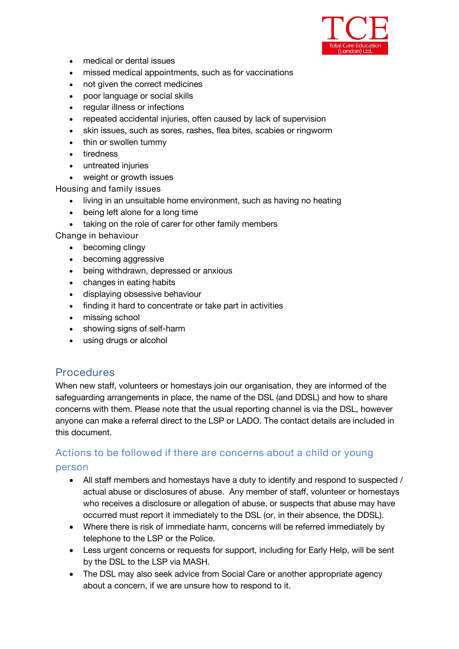

- medical or dental issues
- missed medical appointments, such as for vaccinations
- not given the correct medicines
- poor language or social skills
- regular illness or infections
- repeated accidental injuries, often caused by lack of supervision
- skin issues, such as sores, rashes, flea bites, scabies or ringworm
- thin or swollen tummy
- tiredness
- untreated injuries
- weight or growth issues

**Housing and family issues**

- living in an unsuitable home environment, such as having no heating
- being left alone for a long time
- taking on the role of carer for other family members

**Change in behaviour**

- becoming clingy
- becoming aggressive
- being withdrawn, depressed or anxious
- changes in eating habits
- displaying obsessive behaviour
- finding it hard to concentrate or take part in activities
- missing school
- showing signs of [self-harm](about:blank)
- using drugs or [alcohol](about:blank)

# **Procedures**

When new staff, volunteers or homestays join our organisation, they are informed of the safeguarding arrangements in place, the name of the DSL (and DDSL) and how to share concerns with them. Please note that the usual reporting channel is via the DSL, however anyone can make a referral direct to the LSP or LADO. The contact details are included in this document.

# **Actions to be followed if there are concerns about a child or young person**

- All staff members and homestays have a duty to identify and respond to suspected / actual abuse or disclosures of abuse. Any member of staff, volunteer or homestays who receives a disclosure or allegation of abuse, or suspects that abuse may have occurred must report it immediately to the DSL (or, in their absence, the DDSL).
- Where there is risk of immediate harm, concerns will be referred immediately by telephone to the LSP or the Police.
- Less urgent concerns or requests for support, including for Early Help, will be sent by the DSL to the LSP via *MASH.*
- The DSL may also seek advice from Social Care or another appropriate agency about a concern, if we are unsure how to respond to it.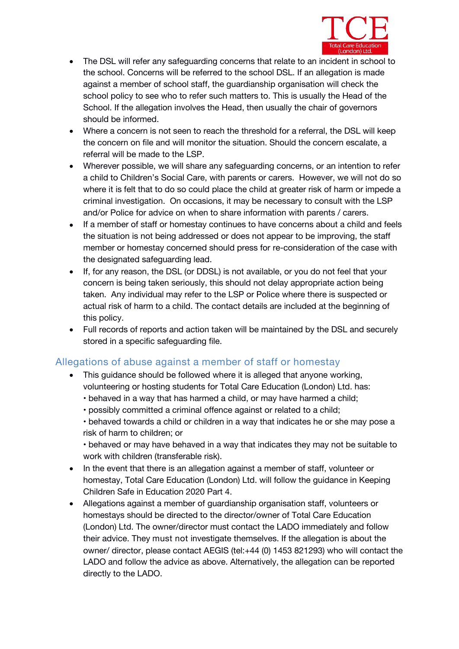

- The DSL will refer any safeguarding concerns that relate to an incident in school to the school. Concerns will be referred to the school DSL. If an allegation is made against a member of school staff, the guardianship organisation will check the school policy to see who to refer such matters to. This is usually the Head of the School. If the allegation involves the Head, then usually the chair of governors should be informed.
- Where a concern is not seen to reach the threshold for a referral, the DSL will keep the concern on file and will monitor the situation. Should the concern escalate, a referral will be made to the LSP.
- Wherever possible, we will share any safeguarding concerns, or an intention to refer a child to Children's Social Care, with parents or carers. However, we will not do so where it is felt that to do so could place the child at greater risk of harm or impede a criminal investigation. On occasions, it may be necessary to consult with the LSP and/or Police for advice on when to share information with parents / carers.
- If a member of staff or homestay continues to have concerns about a child and feels the situation is not being addressed or does not appear to be improving, the staff member or homestay concerned should press for re-consideration of the case with the designated safeguarding lead.
- If, for any reason, the DSL (or DDSL) is not available, or you do not feel that your concern is being taken seriously, this should not delay appropriate action being taken. Any individual may refer to the LSP or Police where there is suspected or actual risk of harm to a child. The contact details are included at the beginning of this policy.
- Full records of reports and action taken will be maintained by the DSL and securely stored in a specific safeguarding file.

# **Allegations of abuse against a member of staff or homestay**

- This guidance should be followed where it is alleged that anyone working, volunteering or hosting students for *Total Care Education (London) Ltd.* has:
	- behaved in a way that has harmed a child, or may have harmed a child;
	- possibly committed a criminal offence against or related to a child;
	- behaved towards a child or children in a way that indicates he or she may pose a risk of harm to children; or

• behaved or may have behaved in a way that indicates they may not be suitable to work with children (transferable risk).

- In the event that there is an allegation against a member of staff, volunteer or homestay, *Total Care Education (London) Ltd.* will follow the guidance in *Keeping* **Children Safe in Education 2020 Part 4.**
- Allegations against a member of guardianship organisation staff, volunteers or homestays should be directed to the *director/owner* of *Total Care Education (London) Ltd.* The *owner/director* must contact the LADO immediately and follow their advice. They **must not** investigate themselves. If the allegation is about the *owner/ director*, please contact *AEGIS (tel:+44 (0) 1453 821293)* who will contact the LADO and follow the advice as above. Alternatively, the allegation can be reported directly to the LADO.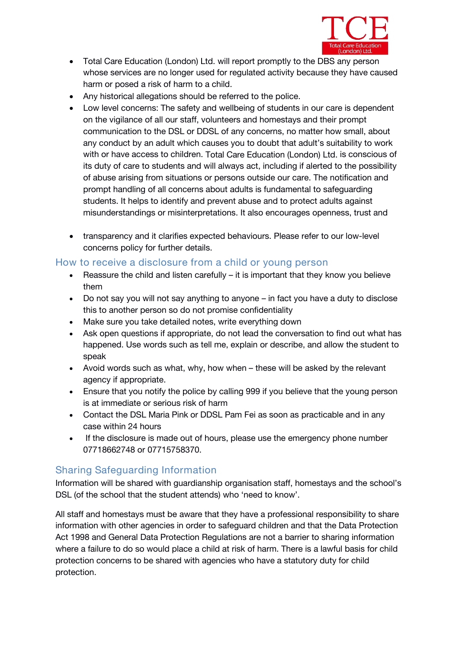

- *Total Care Education (London) Ltd.* will report promptly to the DBS any person whose services are no longer used for regulated activity because they have caused harm or posed a risk of harm to a child.
- Any historical allegations should be referred to the police.
- Low level concerns: The safety and wellbeing of students in our care is dependent on the vigilance of all our staff, volunteers and homestays and their prompt communication to the DSL or DDSL of any concerns, no matter how small, about any conduct by an adult which causes you to doubt that adult's suitability to work with or have access to children. *Total Care Education (London) Ltd.* is conscious of its duty of care to students and will always act, including if alerted to the possibility of abuse arising from situations or persons outside our care. The notification and prompt handling of all concerns about adults is fundamental to safeguarding students. It helps to identify and prevent abuse and to protect adults against misunderstandings or misinterpretations. It also encourages openness, trust and
- transparency and it clarifies expected behaviours. Please refer to our low-level concerns policy for further details.

#### **How to receive a disclosure from a child or young person**

- **•** Reassure the child and listen carefully  $-$  it is important that they know you believe them and the contract of the contract of the contract of the contract of the contract of the contract of the contract of the contract of the contract of the contract of the contract of the contract of the contract of the c
- Do not say you will not say anything to anyone in fact you have a duty to disclose this to another person so do not promise confidentiality
- Make sure you take detailed notes, write everything down
- Ask open questions if appropriate, do not lead the conversation to find out what has happened. Use words such as tell me, explain or describe, and allow the student to speak
- Avoid words such as what, why, how when these will be asked by the relevant agency if appropriate.
- Ensure that you notify the police by calling 999 if you believe that the young person is at immediate or serious risk of harm
- Contact the DSL Maria Pink or DDSL Pam Fei as soon as practicable and in any case within 24 hours
- If the disclosure is made out of hours, please use the emergency phone number *07718662748 or 07715758370.*

# **Sharing Safeguarding Information**

Information will be shared with guardianship organisation staff, homestays and the school's DSL (of the school that the student attends) who 'need to know'.

All staff and homestays must be aware that they have a professional responsibility to share information with other agencies in order to safeguard children and that the Data Protection Act 1998 and General Data Protection Regulations are not a barrier to sharing information where a failure to do so would place a child at risk of harm. There is a lawful basis for child protection concerns to be shared with agencies who have a statutory duty for child protection.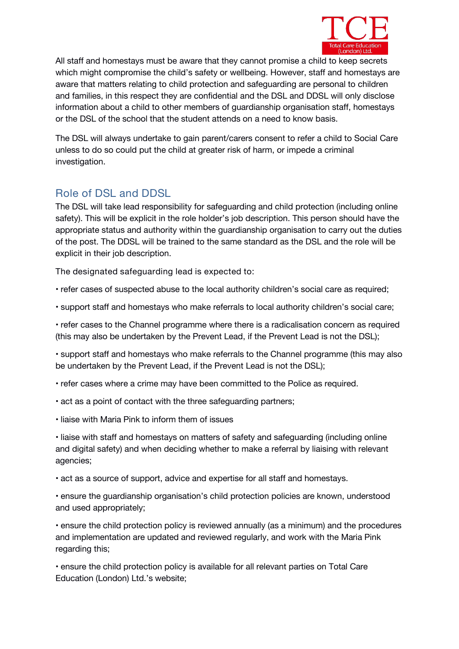

All staff and homestays must be aware that they cannot promise a child to keep secrets which might compromise the child's safety or wellbeing. However, staff and homestays are aware that matters relating to child protection and safeguarding are personal to children and families, in this respect they are confidential and the DSL and DDSL will only disclose information about a child to other members of guardianship organisation staff, homestays or the DSL of the school that the student attends on a need to know basis.<br>The DSL will always undertake to gain parent/carers consent to refer a child to Social Care

unless to do so could put the child at greater risk of harm, or impede a criminal investigation.

# **Role of DSL and DDSL**

The DSL will take lead responsibility for safeguarding and child protection (including online safety). This will be explicit in the role holder's job description. This person should have the appropriate status and authority within the guardianship organisation to carry out the duties of the post. The DDSL will be trained to the same standard as the DSL and the role will be explicit in their job description.

**The designated safeguarding lead is expected to:**

• refer cases of suspected abuse to the local authority children's social care as required;<br>• support staff and homestays who make referrals to local authority children's social care;

• refer cases to the Channel programme where there is a radicalisation concern as required (this may also be undertaken by the Prevent Lead, if the Prevent Lead is not the DSL);

• support staff and homestays who make referrals to the Channel programme (this may also be undertaken by the Prevent Lead, if the Prevent Lead is not the DSL);

• refer cases where a crime may have been committed to the Police as required.<br>• act as a point of contact with the three safeguarding partners;

- 
- liaise with *Maria Pink* to inform them of issues

• liaise with staff and homestays on matters of safety and safeguarding (including online and digital safety) and when deciding whether to make a referral by liaising with relevant agencies;

• act as a source of support, advice and expertise for all staff and homestays.

• ensure the guardianship organisation's child protection policies are known, understood and used appropriately;

• ensure the child protection policy is reviewed annually (as a minimum) and the procedures and implementation are updated and reviewed regularly, and work with the *Maria Pink* regarding this;

• ensure the child protection policy is available for all relevant parties on *Total Care Education (London) Ltd.'s website*;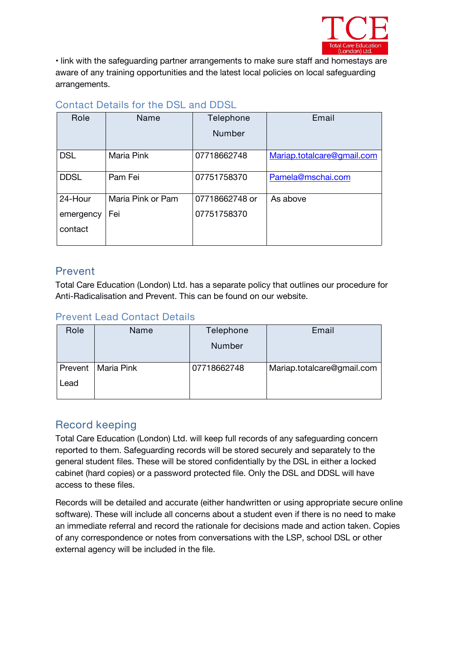

• link with the safeguarding partner arrangements to make sure staff and homestays are aware of any training opportunities and the latest local policies on local safeguarding arrangements.

# **Contact Details for the DSL and DDSL**

| Role        | Name              | Telephone      | Email                      |
|-------------|-------------------|----------------|----------------------------|
|             |                   | Number         |                            |
| <b>DSL</b>  | Maria Pink        | 07718662748    | Mariap.totalcare@gmail.com |
|             |                   |                |                            |
| <b>DDSL</b> | Pam Fei           | 07751758370    | Pamela@mschai.com          |
|             |                   |                |                            |
| 24-Hour     | Maria Pink or Pam | 07718662748 or | As above                   |
| emergency   | Fei               | 07751758370    |                            |
| contact     |                   |                |                            |
|             |                   |                |                            |

# **Prevent**

*Total Care Education (London) Ltd.* has a separate policy that outlines our procedure for Anti-Radicalisation and Prevent. This can be found *on our website.*

# **Prevent Lead Contact Details**

| Role    | Name       | Telephone   | Email                      |
|---------|------------|-------------|----------------------------|
|         |            | Number      |                            |
| Prevent | Maria Pink | 07718662748 | Mariap.totalcare@gmail.com |
| Lead    |            |             |                            |
|         |            |             |                            |

# **Record keeping**

*Total Care Education (London) Ltd.* will keep full records of any safeguarding concern reported to them. Safeguarding records will be stored securely and separately to the general student files. These will be stored confidentially by the DSL in either a locked cabinet (hard copies) or a password protected file. Only the DSL and DDSL will have access to these files.

Records will be detailed and accurate (either handwritten or using appropriate secure online software). These will include all concerns about a student even if there is no need to make an immediate referral and record the rationale for decisions made and action taken. Copies of any correspondence or notes from conversations with the LSP, school DSL or other external agency will be included in the file.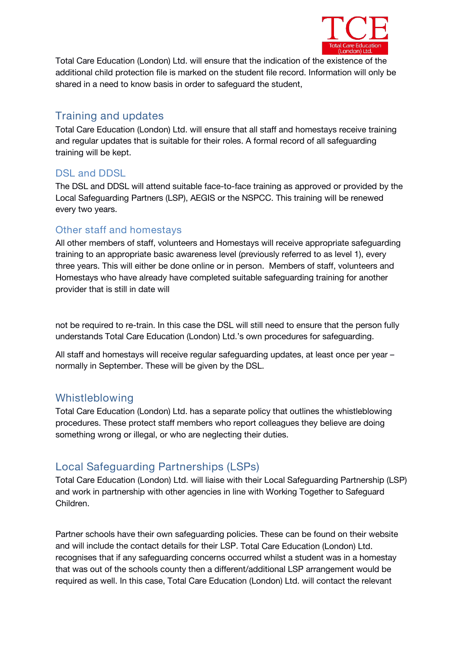

*Total Care Education (London) Ltd.* will ensure that the indication of the existence of the additional child protection file is marked on the student file record. Information will only be shared in a need to know basis in order to safeguard the student,

# **Training and updates**

*Total Care Education (London) Ltd.* will ensure that all staff and homestays receive training and regular updates that is suitable for their roles. A formal record of all safeguarding training will be kept.

# **DSL and DDSL**

The DSL and DDSL will attend suitable face-to-face training as approved or provided by the Local Safeguarding Partners (LSP), AEGIS or the NSPCC. This training will be renewed every two years.

# **Other staff and homestays**

All other members of staff, volunteers and Homestays will receive appropriate safeguarding training to an appropriate basic awareness level (previously referred to as level 1), every three years. This will either be done online or in person. Members of staff, volunteers and Homestays who have already have completed suitable safeguarding training for another provider that is still in date will

not be required to re-train. In this case the DSL will still need to ensure that the person fully understands *Total Care Education (London) Ltd.'s* own procedures for safeguarding.

All staff and homestays will receive regular safeguarding updates, at least once per year normally in September. These will be given by the DSL.

# **Whistleblowing**

*Total Care Education (London) Ltd.* has a separate policy that outlines the whistleblowing procedures. These protect staff members who report colleagues they believe are doing something wrong or illegal, or who are neglecting their duties.

# **Local Safeguarding Partnerships (LSPs)**

*Total Care Education (London) Ltd.* will liaise with their Local Safeguarding Partnership (LSP) and work in partnership with other agencies in line with *Working Together to Safeguard Children*.

Partner schools have their own safeguarding policies. These can be found on their website and will include the contact details for their LSP. *Total Care Education (London) Ltd.* recognises that if any safeguarding concerns occurred whilst a student was in a homestay that was out of the schools county then a different/additional LSP arrangement would be required as well. In this case, *Total Care Education (London) Ltd.* will contact the relevant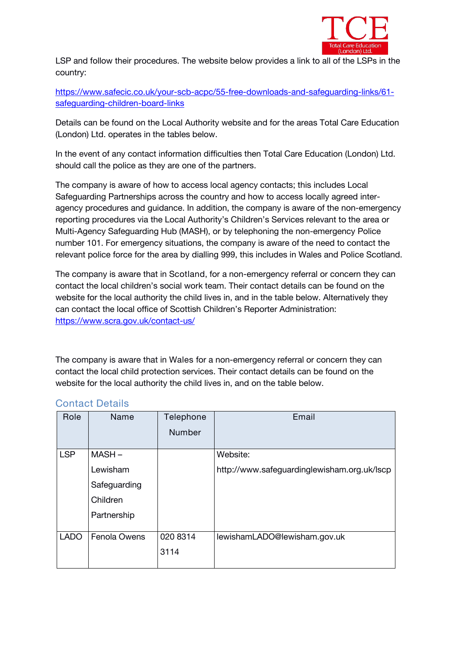

LSP and follow their procedures. The website below provides a link to all of the LSPs in the country:

[https://www.safecic.co.uk/your-scb-acpc/55-free-downloads-and-safeguarding-links/61](https://www.safecic.co.uk/your-scb-acpc/55-free-downloads-and-safeguarding-links/61-safeguarding-children-board-links) safeguarding-children-board-links

Details can be found on the Local Authority website and for the areas *Total Care Education (London) Ltd.* operates in the tables below.

In the event of any contact information difficulties then *Total Care Education (London) Ltd.* should call the police as they are one of the partners.

The company is aware of how to access local agency contacts; this includes Local Safeguarding Partnerships across the country and how to access locally agreed inter agency procedures and guidance. In addition, the company is aware of the non-emergency reporting procedures via the Local Authority's Children's Services relevant to the area or Multi-Agency Safeguarding Hub (MASH), or by telephoning the non-emergency Police number 101. For emergency situations, the company is aware of the need to contact the relevant police force for the area by dialling 999, this includes in Wales and Police Scotland.

The company is aware that in **Scotland**, for a non-emergency referral or concern they can contact the local children's social work team. Their contact details can be found on the website for the local authority the child lives in, and in the table below. Alternatively they can contact the local office of Scottish Children's Reporter Administration: <https://www.scra.gov.uk/contact-us/>

The company is aware that in **Wales** for a non-emergency referral or concern they can contact the local child protection services. Their contact details can be found on the website for the local authority the child lives in, and on the table below.

#### **Contact Details**

| Role        | Name         | Telephone | Email                                       |
|-------------|--------------|-----------|---------------------------------------------|
|             |              | Number    |                                             |
|             |              |           |                                             |
| <b>LSP</b>  | MASH-        |           | Website:                                    |
|             | Lewisham     |           | http://www.safeguardinglewisham.org.uk/lscp |
|             | Safeguarding |           |                                             |
|             | Children     |           |                                             |
|             | Partnership  |           |                                             |
|             |              |           |                                             |
| <b>LADO</b> | Fenola Owens | 020 8314  | lewishamLADO@lewisham.gov.uk                |
|             |              | 3114      |                                             |
|             |              |           |                                             |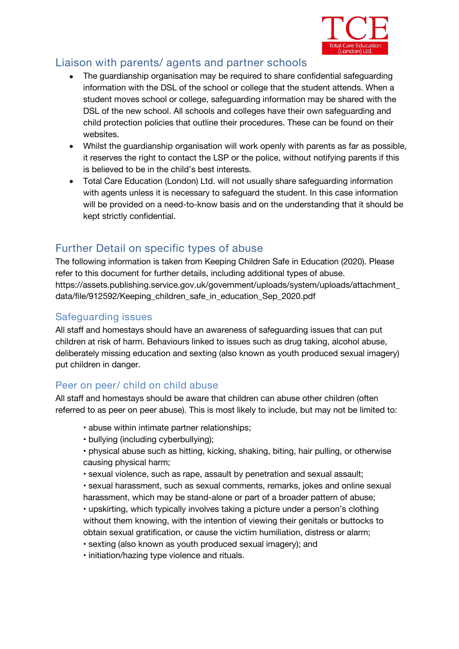

# **Liaison with parents/ agents and partner schools**

- The guardianship organisation may be required to share confidential safeguarding information with the DSL of the school or college that the student attends. When a student moves school or college, safeguarding information may be shared with the DSL of the new school. All schools and colleges have their own safeguarding and child protection policies that outline their procedures. These can be found on their websites.
- Whilst the guardianship organisation will work openly with parents as far as possible, it reserves the right to contact the LSP or the police, without notifying parents if this is believed to be in the child's best interests.
- *Total Care Education (London) Ltd.* will not usually share safeguarding information with agents unless it is necessary to safeguard the student. In this case information will be provided on a need-to-know basis and on the understanding that it should be kept strictly confidential.

# **Further Detail on specific types of abuse**

The following information is taken from *Keeping Children Safe in Education* (2020). Please refer to this document for further details, including additional types of abuse. https://assets.publishing.service.gov.uk/government/uploads/system/uploads/attachment\_ data/file/912592/Keeping\_children\_safe\_in\_education\_Sep\_2020.pdf

# **Safeguarding issues**

All staff and homestays should have an awareness of safeguarding issues that can put children at risk of harm. Behaviours linked to issues such as drug taking, alcohol abuse, deliberately missing education and sexting (also known as youth produced sexual imagery) put children in danger.

# **Peer on peer/ child on child abuse**

All staff and homestays should be aware that children can abuse other children (often referred to as peer on peer abuse). This is most likely to include, but may not be limited to:

- abuse within intimate partner relationships;
- bullying (including cyberbullying);
- physical abuse such as hitting, kicking, shaking, biting, hair pulling, or otherwise causing physical harm;
- sexual violence, such as rape, assault by penetration and sexual assault;
- sexual harassment, such as sexual comments, remarks, jokes and online sexual harassment, which may be stand-alone or part of a broader pattern of abuse;
- upskirting, which typically involves taking a picture under a person's clothing without them knowing, with the intention of viewing their genitals or buttocks to obtain sexual gratification, or cause the victim humiliation, distress or alarm;<br>• sexting (also known as youth produced sexual imagery); and
- 
- initiation/hazing type violence and rituals.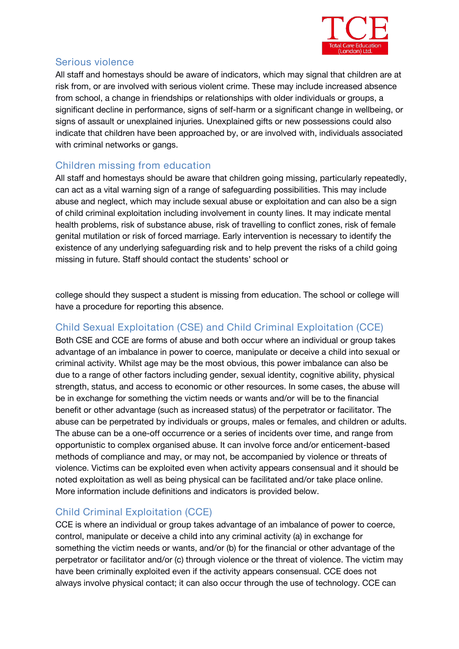

#### **Serious violence**

All staff and homestays should be aware of indicators, which may signal that children are at risk from, or are involved with serious violent crime. These may include increased absence from school, a change in friendships or relationships with older individuals or groups, a significant decline in performance, signs of self-harm or a significant change in wellbeing, or signs of assault or unexplained injuries. Unexplained gifts or new possessions could also indicate that children have been approached by, or are involved with, individuals associated with criminal networks or gangs.

# **Children missing from education**

All staff and homestays should be aware that children going missing, particularly repeatedly, can act as a vital warning sign of a range of safeguarding possibilities. This may include abuse and neglect, which may include sexual abuse or exploitation and can also be a sign of child criminal exploitation including involvement in county lines. It may indicate mental health problems, risk of substance abuse, risk of travelling to conflict zones, risk of female genital mutilation or risk of forced marriage. Early intervention is necessary to identify the existence of any underlying safeguarding risk and to help prevent the risks of a child going missing in future. Staff should contact the students' school or

college should they suspect a student is missing from education. The school or college will have a procedure for reporting this absence.

# **Child Sexual Exploitation (CSE) and Child Criminal Exploitation (CCE)**

Both CSE and CCE are forms of abuse and both occur where an individual or group takes advantage of an imbalance in power to coerce, manipulate or deceive a child into sexual or criminal activity. Whilst age may be the most obvious, this power imbalance can also be due to a range of other factors including gender, sexual identity, cognitive ability, physical strength, status, and access to economic or other resources. In some cases, the abuse will be in exchange for something the victim needs or wants and/or will be to the financial benefit or other advantage (such as increased status) of the perpetrator or facilitator. The abuse can be perpetrated by individuals or groups, males or females, and children or adults. The abuse can be a one-off occurrence or a series of incidents over time, and range from opportunistic to complex organised abuse. It can involve force and/or enticement-based methods of compliance and may, or may not, be accompanied by violence or threats of violence. Victims can be exploited even when activity appears consensualand it should be noted exploitation as well as being physical can be facilitated and/or take place online. More information include definitions and indicators is provided below.

# **Child Criminal Exploitation (CCE)**

CCE is where an individual or group takes advantage of an imbalance of power to coerce, control, manipulate or deceive a child into any criminal activity (a) in exchange for something the victim needs or wants, and/or (b) for the financial or other advantage of the perpetrator or facilitator and/or (c) through violence or the threat of violence. The victim may have been criminally exploited even if the activity appears consensual. CCE does not always involve physical contact; it can also occur through the use of technology. CCE can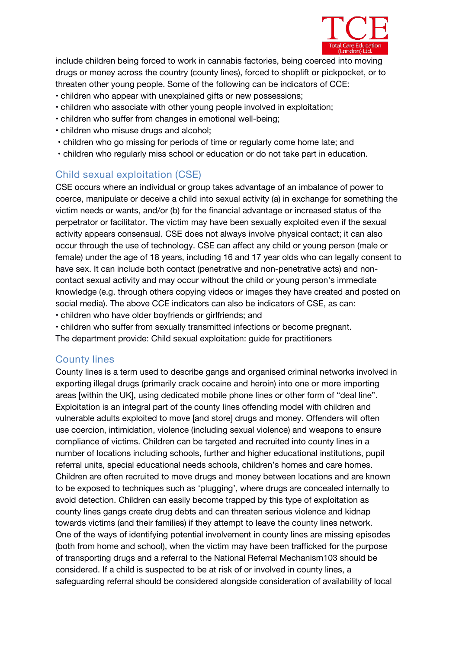

include children being forced to work in cannabis factories, being coerced into moving drugs or money across the country (county lines), forced to shoplift or pickpocket, or to threaten other young people. Some of the following can be indicators of CCE:

- children who appear with unexplained gifts or new possessions;
- children who associate with other young people involved in exploitation;
- children who suffer from changes in emotional well-being;
- children who misuse drugs and alcohol;
- children who go missing for periods of time or regularly come home late; and
- children who regularly miss school or education or do not take part in education.

# **Child sexual exploitation (CSE)**

CSE occurs where an individual or group takes advantage of an imbalance of power to coerce, manipulate or deceive a child into sexual activity (a) in exchange for something the victim needs or wants, and/or (b) for the financial advantage or increased status of the perpetrator or facilitator. The victim may have been sexually exploited even if the sexual activity appears consensual. CSE does not always involve physical contact; it can also occur through the use of technology. CSE can affect any child or young person (male or female) under the age of 18 years, including 16 and 17 year olds who can legally consent to have sex. It can include both contact (penetrative and non-penetrative acts) and non contact sexual activity and may occurwithout the child or young person's immediate knowledge (e.g. through others copying videos or images they have created and posted on social media). The above CCE indicators can also be indicators of CSE, as can:

- children who have older boyfriends or girlfriends; and
- children who suffer from sexually transmitted infections or become pregnant.

The department provide: Child sexual exploitation: guide for practitioners

#### **County lines**

County lines is a term used to describe gangs and organised criminal networks involved in exporting illegal drugs (primarily crack cocaine and heroin) into one or more importing areas [within the UK], using dedicated mobile phone lines or other form of "deal line". Exploitation is an integral part of the county lines offending model with children and vulnerable adults exploited to move [and store] drugs and money. Offenders will often use coercion, intimidation, violence (including sexual violence) and weapons to ensure compliance of victims. Children can be targeted and recruited into county lines in a number of locations including schools, further and higher educational institutions, pupil referral units, special educational needs schools, children's homes and care homes. Children are often recruited to move drugs and money between locations and are known to be exposed to techniques such as 'plugging', where drugs are concealed internally to avoid detection. Children can easily become trapped by this type of exploitation as county lines gangs create drug debts and can threaten serious violence and kidnap towards victims (and their families) if they attempt to leave the county lines network. One of the ways of identifying potential involvement in county lines are missing episodes (both from home and school), when the victim may have been trafficked for the purpose of transporting drugs and a referral to the National Referral Mechanism103 should be considered. If a child is suspected to be at risk of or involved in county lines, a safeguarding referral should be considered alongside consideration of availability of local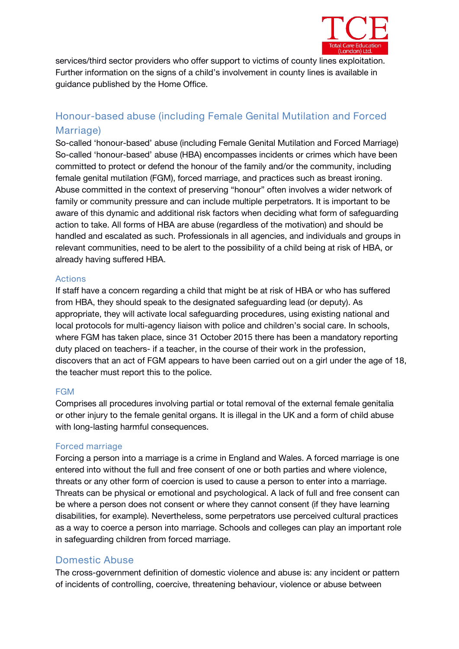

services/third sector providers who offer support to victims of county lines exploitation. Further information on the signs of a child's involvement in county lines is available in guidance published by the Home Office.

# **Honour-based abuse (including Female Genital Mutilation and Forced Marriage)**

So-called 'honour-based' abuse (including Female Genital Mutilation and Forced Marriage) So-called 'honour-based' abuse (HBA) encompasses incidents or crimes which have been committed to protect or defend the honour of the family and/or the community, including female genital mutilation (FGM), forced marriage, and practices such as breast ironing. Abuse committed in the context of preserving "honour" often involves a wider network of family or community pressure and can include multiple perpetrators. It is important to be aware of this dynamic and additional risk factors when deciding what form of safeguarding action to take. All forms of HBA are abuse (regardless of the motivation) and should be handled and escalated as such. Professionals in all agencies, and individuals and groups in relevant communities, need to be alert to the possibility of a child being at risk of HBA, or already having suffered HBA.

#### **Actions**

If staff have a concern regarding a child that might be at risk of HBA or who has suffered from HBA, they should speak to the designated safeguarding lead (or deputy). As appropriate, they will activate local safeguarding procedures, using existing national and local protocols for multi-agency liaison with police and children's social care. In schools, where FGM has taken place, since 31 October 2015 there has been a mandatory reporting duty placed on teachers- if a teacher, in the course of their work in the profession, discovers that an act of FGM appears to have been carried out on a girl under the age of 18, the teacher must report this to the police.

#### **FGM**

Comprises all procedures involving partial or total removal of the external female genitalia or other injury to the female genital organs. It is illegal in the UK and a form of child abuse with long-lasting harmful consequences.

#### **Forced marriage**

Forcing a person into a marriage is a crime in England and Wales. A forced marriage is one entered into without the full and free consent of one or both parties and where violence, threats or any other form of coercion is used to cause a person to enter into a marriage. Threats can be physical or emotional and psychological. A lack of full and free consent can be where a person does not consent or where they cannot consent (if they have learning disabilities, for example). Nevertheless, some perpetrators use perceived cultural practices as a way to coerce a person into marriage. Schools and colleges can play an important role in safeguarding children from forced marriage.

#### **Domestic Abuse**

The cross-government definition of domestic violence and abuse is: any incident or pattern of incidents of controlling, coercive, threatening behaviour, violence or abuse between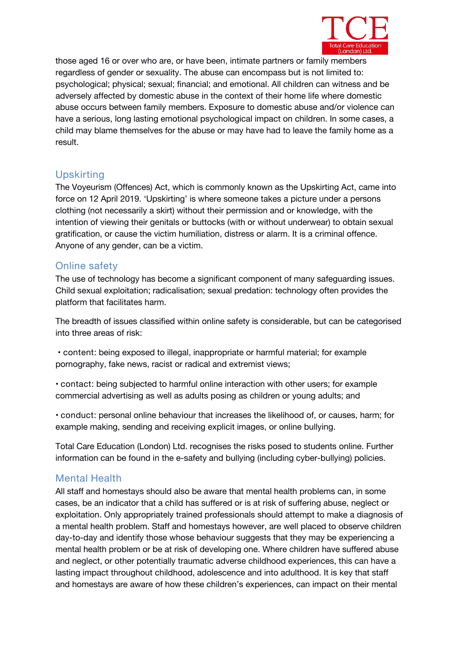

those aged 16 or over who are, or have been, intimate partners or family members regardless of gender or sexuality. The abuse can encompass but is not limited to: psychological; physical; sexual; financial; and emotional. All children can witness and be adversely affected by domestic abuse in the context of their home life where domestic abuse occurs between family members. Exposure to domestic abuse and/or violence can have a serious, long lasting emotional psychological impact on children. In some cases, a child may blame themselves for the abuse or may have had to leave the family home as a result.

# **Upskirting**

The Voyeurism (Offences) Act, which is commonly known as the Upskirting Act, came into force on 12 April 2019. 'Upskirting' is where someone takes a picture under a persons clothing (not necessarily a skirt) without their permission and or knowledge, with the intention of viewing their genitals or buttocks (with or without underwear) to obtain sexual gratification, or cause the victim humiliation, distress or alarm. It is a criminal offence. Anyone of any gender, can be a victim.

# **Online safety**

The use of technology has become a significant component of many safeguarding issues. Child sexual exploitation; radicalisation; sexual predation: technology often provides the platform that facilitates harm.

The breadth of issues classified within online safety is considerable, but can be categorised into three areas of risk:

• **content:** being exposed to illegal, inappropriate or harmful material; for example pornography, fake news, racist or radical and extremist views;

• **contact:** being subjected to harmful online interaction with other users; for example commercial advertising as well as adults posing as children or young adults; and

• **conduct:** personal online behaviour that increases the likelihood of, or causes, harm; for example making, sending and receiving explicit images, or online bullying.

*Total Care Education (London) Ltd.* recognises the risks posed to students online. Further information can be found in the e-safety and bullying (including cyber-bullying) policies.

# **Mental Health**

All staff and homestays should also be aware that mental health problems can, in some cases, be an indicator that a child has suffered or is at risk of suffering abuse, neglect or exploitation. Only appropriately trained professionals should attempt to make a diagnosis of a mental health problem. Staff and homestays however, are well placed to observe children day-to-day and identify those whose behaviour suggests that they may be experiencing a mental health problem or be at risk of developing one. Where children have suffered abuse and neglect, or other potentially traumatic adverse childhood experiences, this can have a lasting impact throughout childhood, adolescence and into adulthood. It is key that staff and homestays are aware of how these children's experiences, can impact on their mental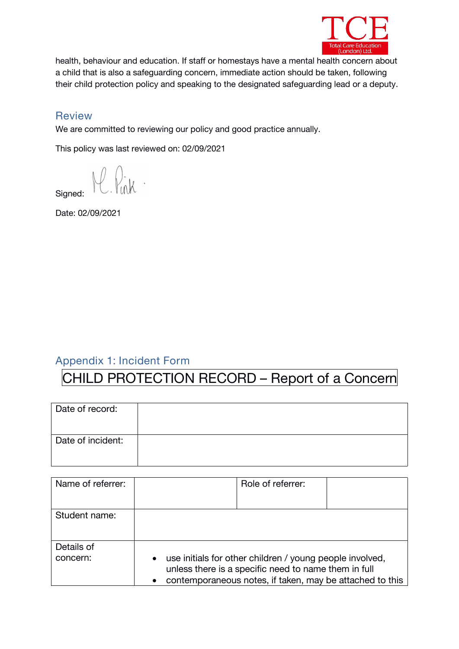

health, behaviour and education. If staff or homestays have a mental health concern about a child that is also a safeguarding concern, immediate action should be taken, following their child protection policy and speaking to the designated safeguarding lead or a deputy.

# **Review**

We are committed to reviewing our policy and good practice annually.

This policy was last reviewed on: 02/09/2021

 $\mathbb{R}$   $\mathbb{R}$   $\mathbb{R}$   $\cdot$ 

Date: 02/09/2021

# **Appendix 1: Incident Form**

# CHILD PROTECTION RECORD – Report of a Concern

| Date of record:   |  |
|-------------------|--|
| Date of incident: |  |

| Name of referrer:      | Role of referrer:                                                                                                                                                                         |  |
|------------------------|-------------------------------------------------------------------------------------------------------------------------------------------------------------------------------------------|--|
| Student name:          |                                                                                                                                                                                           |  |
| Details of<br>concern: | use initials for other children / young people involved,<br>$\bullet$<br>unless there is a specific need to name them in full<br>contemporaneous notes, if taken, may be attached to this |  |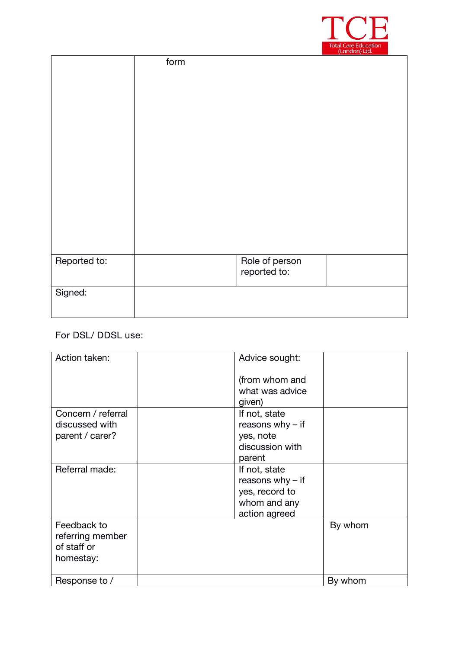

|              |      |                | ( |  |
|--------------|------|----------------|---|--|
|              | form |                |   |  |
|              |      |                |   |  |
|              |      |                |   |  |
|              |      |                |   |  |
|              |      |                |   |  |
|              |      |                |   |  |
|              |      |                |   |  |
|              |      |                |   |  |
|              |      |                |   |  |
|              |      |                |   |  |
|              |      |                |   |  |
|              |      |                |   |  |
|              |      |                |   |  |
|              |      |                |   |  |
|              |      |                |   |  |
| Reported to: |      | Role of person |   |  |
|              |      | reported to:   |   |  |
|              |      |                |   |  |
| Signed:      |      |                |   |  |
|              |      |                |   |  |

**For DSL/ DDSL use:**

| Action taken:      | Advice sought:     |
|--------------------|--------------------|
|                    | (from whom and     |
|                    | what was advice    |
|                    | given)             |
| Concern / referral | If not, state      |
| discussed with     | reasons why $-$ if |
| parent / carer?    | yes, note          |
|                    | discussion with    |
|                    | parent             |
| Referral made:     | If not, state      |
|                    | reasons why $-$ if |
|                    | yes, record to     |
|                    | whom and any       |
|                    | action agreed      |
| Feedback to        | By whom            |
| referring member   |                    |
| of staff or        |                    |
| homestay:          |                    |
| Response to /      | By whom            |